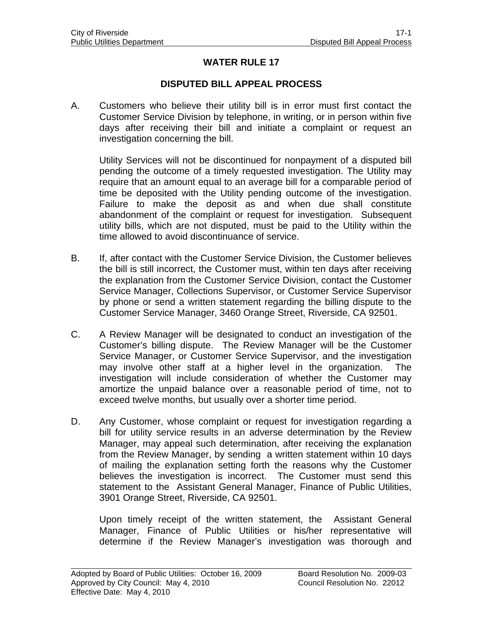## **WATER RULE 17**

## **DISPUTED BILL APPEAL PROCESS**

A. Customers who believe their utility bill is in error must first contact the Customer Service Division by telephone, in writing, or in person within five days after receiving their bill and initiate a complaint or request an investigation concerning the bill.

 Utility Services will not be discontinued for nonpayment of a disputed bill pending the outcome of a timely requested investigation. The Utility may require that an amount equal to an average bill for a comparable period of time be deposited with the Utility pending outcome of the investigation. Failure to make the deposit as and when due shall constitute abandonment of the complaint or request for investigation. Subsequent utility bills, which are not disputed, must be paid to the Utility within the time allowed to avoid discontinuance of service.

- B. If, after contact with the Customer Service Division, the Customer believes the bill is still incorrect, the Customer must, within ten days after receiving the explanation from the Customer Service Division, contact the Customer Service Manager, Collections Supervisor, or Customer Service Supervisor by phone or send a written statement regarding the billing dispute to the Customer Service Manager, 3460 Orange Street, Riverside, CA 92501.
- C. A Review Manager will be designated to conduct an investigation of the Customer's billing dispute. The Review Manager will be the Customer Service Manager, or Customer Service Supervisor, and the investigation may involve other staff at a higher level in the organization. The investigation will include consideration of whether the Customer may amortize the unpaid balance over a reasonable period of time, not to exceed twelve months, but usually over a shorter time period.
- D. Any Customer, whose complaint or request for investigation regarding a bill for utility service results in an adverse determination by the Review Manager, may appeal such determination, after receiving the explanation from the Review Manager, by sending a written statement within 10 days of mailing the explanation setting forth the reasons why the Customer believes the investigation is incorrect. The Customer must send this statement to the Assistant General Manager, Finance of Public Utilities, 3901 Orange Street, Riverside, CA 92501.

Upon timely receipt of the written statement, the Assistant General Manager, Finance of Public Utilities or his/her representative will determine if the Review Manager's investigation was thorough and